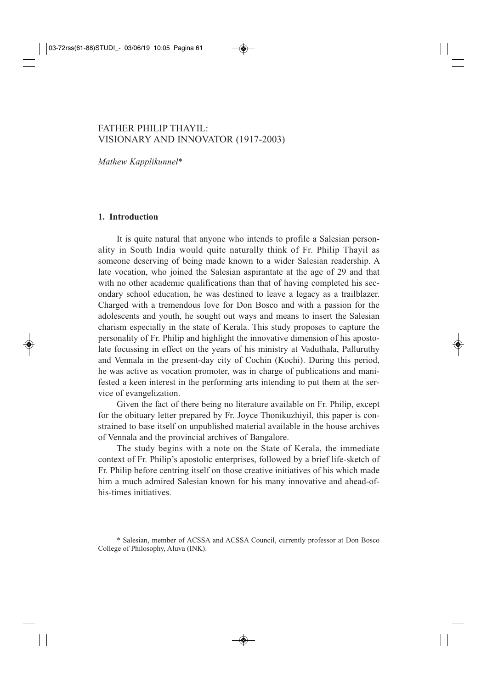# FATHER PHILIP THAYIL: VISIONARY AND INNOVATOR (1917-2003)

*Mathew Kapplikunnel*\*

### **1. Introduction**

It is quite natural that anyone who intends to profile a Salesian personality in South India would quite naturally think of Fr. Philip Thayil as someone deserving of being made known to a wider Salesian readership. A late vocation, who joined the Salesian aspirantate at the age of 29 and that with no other academic qualifications than that of having completed his secondary school education, he was destined to leave a legacy as a trailblazer. Charged with a tremendous love for Don Bosco and with a passion for the adolescents and youth, he sought out ways and means to insert the Salesian charism especially in the state of Kerala. This study proposes to capture the personality of Fr. Philip and highlight the innovative dimension of his apostolate focussing in effect on the years of his ministry at Vaduthala, Palluruthy and Vennala in the present-day city of Cochin (Kochi). During this period, he was active as vocation promoter, was in charge of publications and manifested a keen interest in the performing arts intending to put them at the service of evangelization.

Given the fact of there being no literature available on Fr. Philip, except for the obituary letter prepared by Fr. Joyce Thonikuzhiyil, this paper is constrained to base itself on unpublished material available in the house archives of Vennala and the provincial archives of Bangalore.

The study begins with a note on the State of Kerala, the immediate context of Fr. Philip's apostolic enterprises, followed by a brief life-sketch of Fr. Philip before centring itself on those creative initiatives of his which made him a much admired Salesian known for his many innovative and ahead-ofhis-times initiatives.

<sup>\*</sup> Salesian, member of ACSSA and ACSSA Council, currently professor at Don Bosco College of Philosophy, Aluva (INK).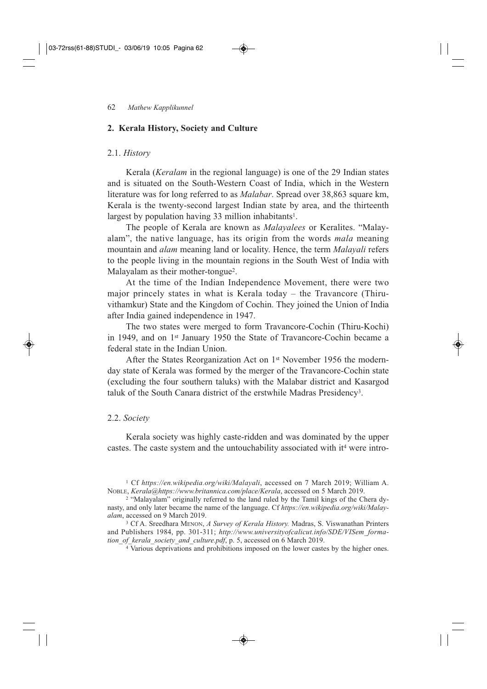### **2. Kerala History, Society and Culture**

### 2.1. *History*

Kerala (*Keralam* in the regional language) is one of the 29 Indian states and is situated on the South-Western Coast of India, which in the Western literature was for long referred to as *Malabar*. Spread over 38,863 square km, Kerala is the twenty-second largest Indian state by area, and the thirteenth largest by population having 33 million inhabitants<sup>1</sup>.

The people of Kerala are known as *Malayalees* or Keralites. "Malayalam", the native language, has its origin from the words *mala* meaning mountain and *alam* meaning land or locality. Hence, the term *Malayali* refers to the people living in the mountain regions in the South West of India with Malayalam as their mother-tongue<sup>2</sup>.

At the time of the Indian Independence Movement, there were two major princely states in what is Kerala today – the Travancore (Thiruvithamkur) State and the Kingdom of Cochin. They joined the Union of India after India gained independence in 1947.

The two states were merged to form Travancore-Cochin (Thiru-Kochi) in 1949, and on 1st January 1950 the State of Travancore-Cochin became a federal state in the Indian Union.

After the States Reorganization Act on 1st November 1956 the modernday state of Kerala was formed by the merger of the Travancore-Cochin state (excluding the four southern taluks) with the Malabar district and Kasargod taluk of the South Canara district of the erstwhile Madras Presidency3.

### 2.2. *Society*

Kerala society was highly caste-ridden and was dominated by the upper castes. The caste system and the untouchability associated with it<sup>4</sup> were intro-

<sup>1</sup> Cf *https://en.wikipedia.org/wiki/Malayali*, accessed on 7 March 2019; William A. NOBLE, *Kerala*@*https://www.britannica.com/place/Kerala*, accessed on 5 March 2019.

<sup>2</sup> "Malayalam" originally referred to the land ruled by the Tamil kings of the Chera dynasty, and only later became the name of the language. Cf *https://en.wikipedia.org/wiki/Malayalam*, accessed on 9 March 2019.

<sup>3</sup> Cf A. Sreedhara MENON, *A Survey of Kerala History.* Madras, S. Viswanathan Printers and Publishers 1984, pp. 301-311; *http://www.universityofcalicut.info/SDE/VISem\_formation\_of\_kerala\_society\_and\_culture.pdf*, p. 5, accessed on 6 March 2019.

<sup>4</sup> Various deprivations and prohibitions imposed on the lower castes by the higher ones.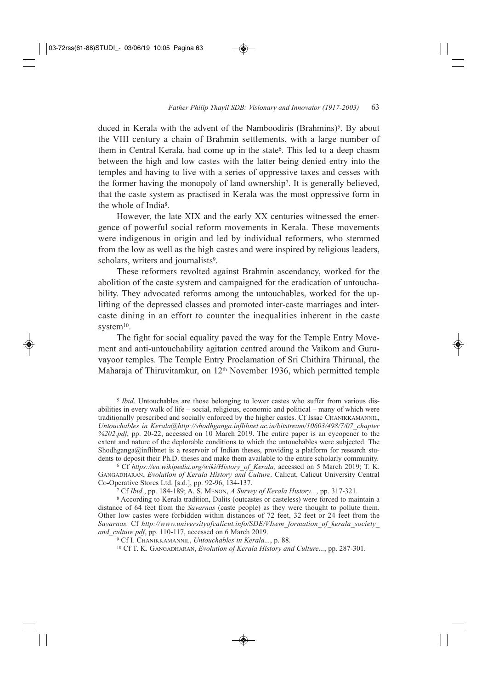duced in Kerala with the advent of the Namboodiris (Brahmins)<sup>5</sup>. By about the VIII century a chain of Brahmin settlements, with a large number of them in Central Kerala, had come up in the state<sup>6</sup>. This led to a deep chasm between the high and low castes with the latter being denied entry into the temples and having to live with a series of oppressive taxes and cesses with the former having the monopoly of land ownership7. It is generally believed, that the caste system as practised in Kerala was the most oppressive form in the whole of India8.

However, the late XIX and the early XX centuries witnessed the emergence of powerful social reform movements in Kerala. These movements were indigenous in origin and led by individual reformers, who stemmed from the low as well as the high castes and were inspired by religious leaders, scholars, writers and journalists<sup>9</sup>.

These reformers revolted against Brahmin ascendancy, worked for the abolition of the caste system and campaigned for the eradication of untouchability. They advocated reforms among the untouchables, worked for the uplifting of the depressed classes and promoted inter-caste marriages and intercaste dining in an effort to counter the inequalities inherent in the caste system<sup>10</sup>.

The fight for social equality paved the way for the Temple Entry Movement and anti-untouchability agitation centred around the Vaikom and Guruvayoor temples. The Temple Entry Proclamation of Sri Chithira Thirunal, the Maharaja of Thiruvitamkur, on 12<sup>th</sup> November 1936, which permitted temple

<sup>5</sup> *Ibid*. Untouchables are those belonging to lower castes who suffer from various disabilities in every walk of life – social, religious, economic and political – many of which were traditionally prescribed and socially enforced by the higher castes. Cf Issac CHANIKKAMANNIL, *Untouchables in Kerala*@*http://shodhganga.inflibnet.ac.in/bitstream/10603/498/7/07\_chapter %202.pdf*, pp. 20-22, accessed on 10 March 2019. The entire paper is an eyeopener to the extent and nature of the deplorable conditions to which the untouchables were subjected. The Shodhganga@inflibnet is a reservoir of Indian theses, providing a platform for research students to deposit their Ph.D. theses and make them available to the entire scholarly community.

<sup>6</sup> Cf *https://en.wikipedia.org/wiki/History\_of\_Kerala,* accessed on 5 March 2019; T. K. GANGADHARAN, *Evolution of Kerala History and Culture*. Calicut, Calicut University Central Co-Operative Stores Ltd. [s.d.], pp. 92-96, 134-137.

<sup>7</sup> Cf *Ibid*., pp. 184-189; A. S. MENON, *A Survey of Kerala History...*, pp. 317-321.

<sup>8</sup> According to Kerala tradition, Dalits (outcastes or casteless) were forced to maintain a distance of 64 feet from the *Savarnas* (caste people) as they were thought to pollute them. Other low castes were forbidden within distances of 72 feet, 32 feet or 24 feet from the *Savarnas.* Cf *http://www.universityofcalicut.info/SDE/VIsem\_formation\_of\_kerala\_society\_ and\_culture.pdf*, pp. 110-117, accessed on 6 March 2019.

<sup>9</sup> Cf I. CHANIKKAMANNIL, *Untouchables in Kerala...*, p. 88.

<sup>10</sup> Cf T. K. GANGADHARAN, *Evolution of Kerala History and Culture...*, pp. 287-301.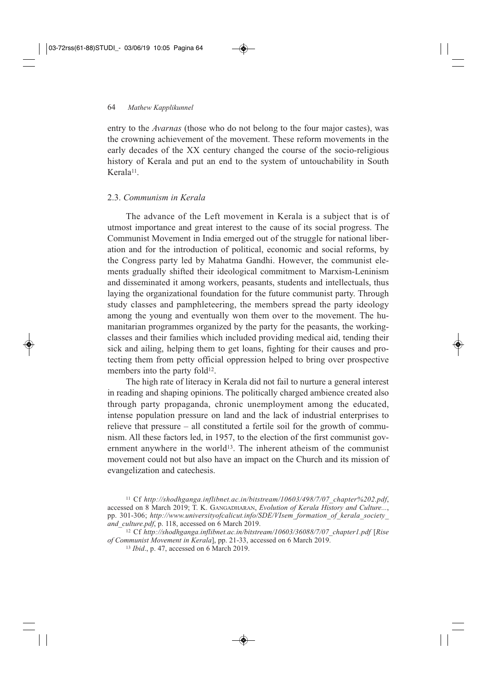entry to the *Avarnas* (those who do not belong to the four major castes), was the crowning achievement of the movement. These reform movements in the early decades of the XX century changed the course of the socio-religious history of Kerala and put an end to the system of untouchability in South Kerala<sup>11</sup>.

## 2.3. *Communism in Kerala*

The advance of the Left movement in Kerala is a subject that is of utmost importance and great interest to the cause of its social progress. The Communist Movement in India emerged out of the struggle for national liberation and for the introduction of political, economic and social reforms, by the Congress party led by Mahatma Gandhi. However, the communist elements gradually shifted their ideological commitment to Marxism-Leninism and disseminated it among workers, peasants, students and intellectuals, thus laying the organizational foundation for the future communist party. Through study classes and pamphleteering, the members spread the party ideology among the young and eventually won them over to the movement. The humanitarian programmes organized by the party for the peasants, the workingclasses and their families which included providing medical aid, tending their sick and ailing, helping them to get loans, fighting for their causes and protecting them from petty official oppression helped to bring over prospective members into the party fold<sup>12</sup>.

The high rate of literacy in Kerala did not fail to nurture a general interest in reading and shaping opinions. The politically charged ambience created also through party propaganda, chronic unemployment among the educated, intense population pressure on land and the lack of industrial enterprises to relieve that pressure – all constituted a fertile soil for the growth of communism. All these factors led, in 1957, to the election of the first communist government anywhere in the world<sup>13</sup>. The inherent atheism of the communist movement could not but also have an impact on the Church and its mission of evangelization and catechesis.

<sup>11</sup> Cf *http://shodhganga.inflibnet.ac.in/bitstream/10603/498/7/07\_chapter%202.pdf*, accessed on 8 March 2019; T. K. GANGADHARAN, *Evolution of Kerala History and Culture...*, pp. 301-306; *http://www.universityofcalicut.info/SDE/VIsem\_formation\_of\_kerala\_society\_ and\_culture.pdf*, p. 118, accessed on 6 March 2019.

<sup>12</sup> Cf *http://shodhganga.inflibnet.ac.in/bitstream/10603/36088/7/07\_chapter1.pdf* [*Rise of Communist Movement in Kerala*], pp. 21-33, accessed on 6 March 2019.

<sup>13</sup> *Ibid*., p. 47, accessed on 6 March 2019.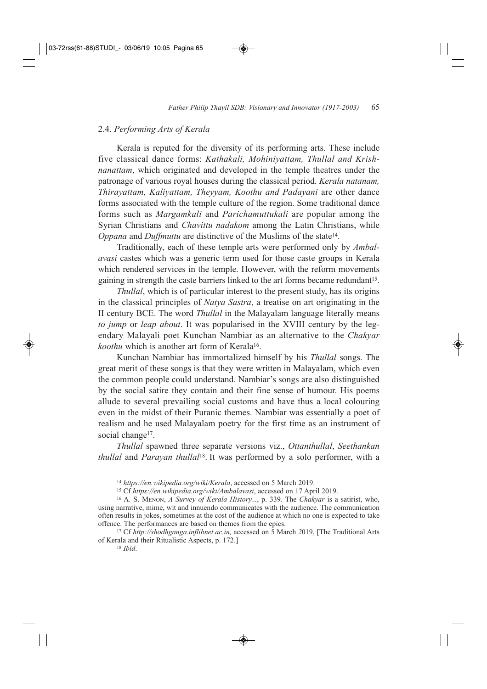### 2.4. *Performing Arts of Kerala*

Kerala is reputed for the diversity of its performing arts. These include five classical dance forms: *Kathakali, Mohiniyattam, Thullal and Krishnanattam*, which originated and developed in the temple theatres under the patronage of various royal houses during the classical period. *Kerala natanam, Thirayattam, Kaliyattam, Theyyam, Koothu and Padayani* are other dance forms associated with the temple culture of the region. Some traditional dance forms such as *Margamkali* and *Parichamuttukali* are popular among the Syrian Christians and *Chavittu nadakom* among the Latin Christians, while *Oppana* and *Duffmuttu* are distinctive of the Muslims of the state<sup>14</sup>.

Traditionally, each of these temple arts were performed only by *Ambalavasi* castes which was a generic term used for those caste groups in Kerala which rendered services in the temple. However, with the reform movements gaining in strength the caste barriers linked to the art forms became redundant15.

*Thullal*, which is of particular interest to the present study, has its origins in the classical principles of *Natya Sastra*, a treatise on art originating in the II century BCE. The word *Thullal* in the Malayalam language literally means *to jump* or *leap about*. It was popularised in the XVIII century by the legendary Malayali poet Kunchan Nambiar as an alternative to the *Chakyar koothu* which is another art form of Kerala<sup>16</sup>.

Kunchan Nambiar has immortalized himself by his *Thullal* songs. The great merit of these songs is that they were written in Malayalam, which even the common people could understand. Nambiar's songs are also distinguished by the social satire they contain and their fine sense of humour. His poems allude to several prevailing social customs and have thus a local colouring even in the midst of their Puranic themes. Nambiar was essentially a poet of realism and he used Malayalam poetry for the first time as an instrument of social change<sup>17</sup>.

*Thullal* spawned three separate versions viz., *Ottanthullal*, *Seethankan thullal* and *Parayan thullal*18. It was performed by a solo performer, with a

<sup>17</sup> Cf *http://shodhganga.inflibnet.ac.in,* accessed on 5 March *2*019, [The Traditional Arts of Kerala and their Ritualistic Aspects, p. 172.]

<sup>18</sup> *Ibid*.

<sup>14</sup> *https://en.wikipedia.org/wiki/Kerala*, accessed on 5 March 2019.

<sup>15</sup> Cf *https://en.wikipedia.org/wiki/Ambalavasi*, accessed on 17 April 2019.

<sup>16</sup> A. S. MENON, *A Survey of Kerala History...*, p. 339. The *Chakyar* is a satirist, who, using narrative, mime, wit and innuendo communicates with the audience. The communication often results in jokes, sometimes at the cost of the audience at which no one is expected to take offence. The performances are based on themes from the epics.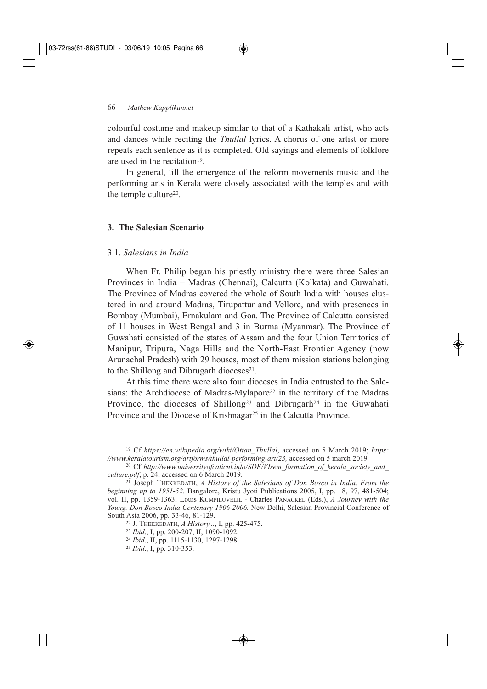colourful costume and makeup similar to that of a Kathakali artist, who acts and dances while reciting the *Thullal* lyrics. A chorus of one artist or more repeats each sentence as it is completed. Old sayings and elements of folklore are used in the recitation<sup>19</sup>.

In general, till the emergence of the reform movements music and the performing arts in Kerala were closely associated with the temples and with the temple culture<sup>20</sup>.

### **3. The Salesian Scenario**

### 3.1. *Salesians in India*

When Fr. Philip began his priestly ministry there were three Salesian Provinces in India – Madras (Chennai), Calcutta (Kolkata) and Guwahati. The Province of Madras covered the whole of South India with houses clustered in and around Madras, Tirupattur and Vellore, and with presences in Bombay (Mumbai), Ernakulam and Goa. The Province of Calcutta consisted of 11 houses in West Bengal and 3 in Burma (Myanmar). The Province of Guwahati consisted of the states of Assam and the four Union Territories of Manipur, Tripura, Naga Hills and the North-East Frontier Agency (now Arunachal Pradesh) with 29 houses, most of them mission stations belonging to the Shillong and Dibrugarh dioceses $21$ .

At this time there were also four dioceses in India entrusted to the Salesians: the Archdiocese of Madras-Mylapore<sup>22</sup> in the territory of the Madras Province, the dioceses of Shillong<sup>23</sup> and Dibrugarh<sup>24</sup> in the Guwahati Province and the Diocese of Krishnagar<sup>25</sup> in the Calcutta Province.

<sup>19</sup> Cf *https://en.wikipedia.org/wiki/Ottan\_Thullal*, accessed on 5 March 2019; *https: //www.keralatourism.org/artforms/thullal-performing-art/23,* accessed on 5 march 2019*.*

<sup>20</sup> Cf http://www.universityofcalicut.info/SDE/VIsem\_formation\_of\_kerala\_society\_and *culture.pdf*, p. 24, accessed on 6 March 2019.

<sup>21</sup> Joseph THEKKEDATH, *A History of the Salesians of Don Bosco in India. From the beginning up to 1951-52.* Bangalore, Kristu Jyoti Publications 2005, I, pp. 18, 97, 481-504; vol. II, pp. 1359-1363; Louis KUMPILUVELIL - Charles PANACKEL (Eds.), *A Journey with the Young. Don Bosco India Centenary 1906-2006.* New Delhi, Salesian Provincial Conference of South Asia 2006, pp. 33-46, 81-129.

<sup>22</sup> J. THEKKEDATH, *A History...*, I, pp. 425-475.

<sup>23</sup> *Ibid*., I, pp. 200-207, II, 1090-1092.

<sup>24</sup> *Ibid*., II, pp. 1115-1130, 1297-1298.

<sup>25</sup> *Ibid*., I, pp. 310-353.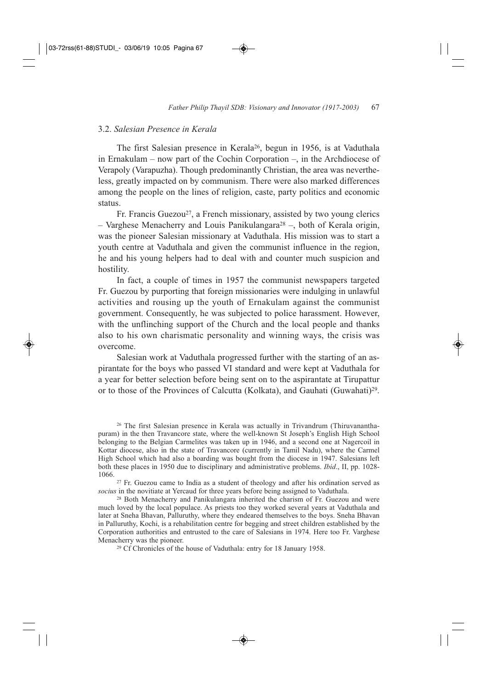## 3.2. *Salesian Presence in Kerala*

The first Salesian presence in Kerala26, begun in 1956, is at Vaduthala in Ernakulam – now part of the Cochin Corporation –, in the Archdiocese of Verapoly (Varapuzha). Though predominantly Christian, the area was nevertheless, greatly impacted on by communism. There were also marked differences among the people on the lines of religion, caste, party politics and economic status.

Fr. Francis Guezou<sup>27</sup>, a French missionary, assisted by two young clerics – Varghese Menacherry and Louis Panikulangara<sup>28</sup> –, both of Kerala origin, was the pioneer Salesian missionary at Vaduthala. His mission was to start a youth centre at Vaduthala and given the communist influence in the region, he and his young helpers had to deal with and counter much suspicion and hostility.

In fact, a couple of times in 1957 the communist newspapers targeted Fr. Guezou by purporting that foreign missionaries were indulging in unlawful activities and rousing up the youth of Ernakulam against the communist government. Consequently, he was subjected to police harassment. However, with the unflinching support of the Church and the local people and thanks also to his own charismatic personality and winning ways, the crisis was overcome.

Salesian work at Vaduthala progressed further with the starting of an aspirantate for the boys who passed VI standard and were kept at Vaduthala for a year for better selection before being sent on to the aspirantate at Tirupattur or to those of the Provinces of Calcutta (Kolkata), and Gauhati (Guwahati)29.

<sup>26</sup> The first Salesian presence in Kerala was actually in Trivandrum (Thiruvananthapuram) in the then Travancore state, where the well-known St Joseph's English High School belonging to the Belgian Carmelites was taken up in 1946, and a second one at Nagercoil in Kottar diocese, also in the state of Travancore (currently in Tamil Nadu), where the Carmel High School which had also a boarding was bought from the diocese in 1947. Salesians left both these places in 1950 due to disciplinary and administrative problems. *Ibid*., II, pp. 1028- 1066.

<sup>27</sup> Fr. Guezou came to India as a student of theology and after his ordination served as *socius* in the novitiate at Yercaud for three years before being assigned to Vaduthala.

<sup>28</sup> Both Menacherry and Panikulangara inherited the charism of Fr. Guezou and were much loved by the local populace. As priests too they worked several years at Vaduthala and later at Sneha Bhavan, Palluruthy, where they endeared themselves to the boys. Sneha Bhavan in Palluruthy, Kochi, is a rehabilitation centre for begging and street children established by the Corporation authorities and entrusted to the care of Salesians in 1974. Here too Fr. Varghese Menacherry was the pioneer.

<sup>29</sup> Cf Chronicles of the house of Vaduthala: entry for 18 January 1958.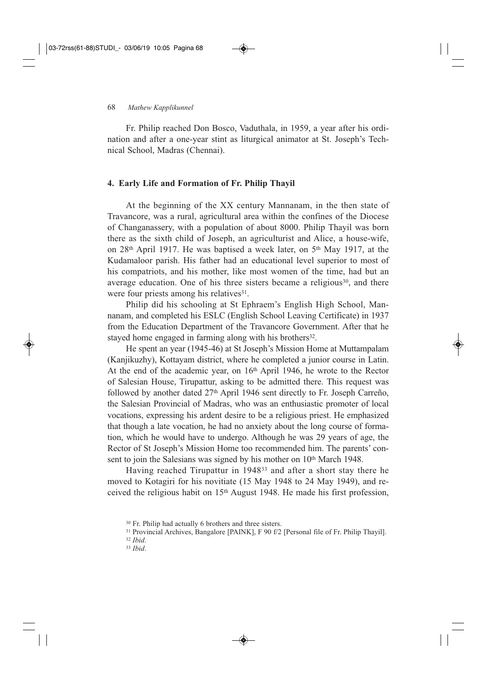### 68 *Mathew Kapplikunnel*

Fr. Philip reached Don Bosco, Vaduthala, in 1959, a year after his ordination and after a one-year stint as liturgical animator at St. Joseph's Technical School, Madras (Chennai).

### **4. Early Life and Formation of Fr. Philip Thayil**

At the beginning of the XX century Mannanam, in the then state of Travancore, was a rural, agricultural area within the confines of the Diocese of Changanassery, with a population of about 8000. Philip Thayil was born there as the sixth child of Joseph, an agriculturist and Alice, a house-wife, on 28th April 1917. He was baptised a week later, on 5th May 1917, at the Kudamaloor parish. His father had an educational level superior to most of his compatriots, and his mother, like most women of the time, had but an average education. One of his three sisters became a religious<sup>30</sup>, and there were four priests among his relatives<sup>31</sup>.

Philip did his schooling at St Ephraem's English High School, Mannanam, and completed his ESLC (English School Leaving Certificate) in 1937 from the Education Department of the Travancore Government. After that he stayed home engaged in farming along with his brothers<sup>32</sup>.

He spent an year (1945-46) at St Joseph's Mission Home at Muttampalam (Kanjikuzhy), Kottayam district, where he completed a junior course in Latin. At the end of the academic year, on 16th April 1946, he wrote to the Rector of Salesian House, Tirupattur, asking to be admitted there. This request was followed by another dated 27th April 1946 sent directly to Fr. Joseph Carreño, the Salesian Provincial of Madras, who was an enthusiastic promoter of local vocations, expressing his ardent desire to be a religious priest. He emphasized that though a late vocation, he had no anxiety about the long course of formation, which he would have to undergo. Although he was 29 years of age, the Rector of St Joseph's Mission Home too recommended him. The parents' consent to join the Salesians was signed by his mother on 10<sup>th</sup> March 1948.

Having reached Tirupattur in 194833 and after a short stay there he moved to Kotagiri for his novitiate (15 May 1948 to 24 May 1949), and received the religious habit on 15th August 1948. He made his first profession,

<sup>32</sup> *Ibid*.

<sup>33</sup> *Ibid*.

<sup>30</sup> Fr. Philip had actually 6 brothers and three sisters.

<sup>31</sup> Provincial Archives, Bangalore [PAINK], F 90 f/2 [Personal file of Fr. Philip Thayil].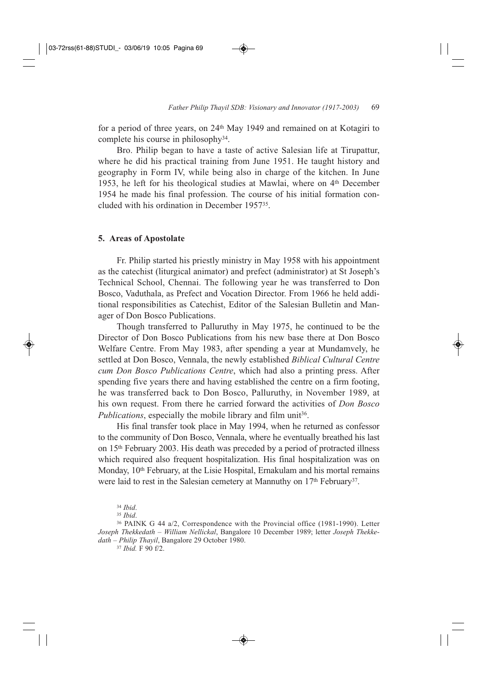for a period of three years, on 24th May 1949 and remained on at Kotagiri to complete his course in philosophy34.

Bro. Philip began to have a taste of active Salesian life at Tirupattur, where he did his practical training from June 1951. He taught history and geography in Form IV, while being also in charge of the kitchen. In June 1953, he left for his theological studies at Mawlai, where on 4<sup>th</sup> December 1954 he made his final profession. The course of his initial formation concluded with his ordination in December 195735.

### **5. Areas of Apostolate**

Fr. Philip started his priestly ministry in May 1958 with his appointment as the catechist (liturgical animator) and prefect (administrator) at St Joseph's Technical School, Chennai. The following year he was transferred to Don Bosco, Vaduthala, as Prefect and Vocation Director. From 1966 he held additional responsibilities as Catechist, Editor of the Salesian Bulletin and Manager of Don Bosco Publications.

Though transferred to Palluruthy in May 1975, he continued to be the Director of Don Bosco Publications from his new base there at Don Bosco Welfare Centre. From May 1983, after spending a year at Mundamvely, he settled at Don Bosco, Vennala, the newly established *Biblical Cultural Centre cum Don Bosco Publications Centre*, which had also a printing press. After spending five years there and having established the centre on a firm footing, he was transferred back to Don Bosco, Palluruthy, in November 1989, at his own request. From there he carried forward the activities of *Don Bosco Publications*, especially the mobile library and film unit<sup>36</sup>.

His final transfer took place in May 1994, when he returned as confessor to the community of Don Bosco, Vennala, where he eventually breathed his last on 15th February 2003. His death was preceded by a period of protracted illness which required also frequent hospitalization. His final hospitalization was on Monday, 10<sup>th</sup> February, at the Lisie Hospital, Ernakulam and his mortal remains were laid to rest in the Salesian cemetery at Mannuthy on 17<sup>th</sup> February<sup>37</sup>.

<sup>36</sup> PAINK G 44 a/2, Correspondence with the Provincial office (1981-1990). Letter *Joseph Thekkedath – William Nellickal*, Bangalore 10 December 1989; letter *Joseph Thekkedath – Philip Thayil*, Bangalore 29 October 1980.

<sup>37</sup> *Ibid.* F 90 f/2.

<sup>34</sup> *Ibid*.

<sup>35</sup> *Ibid*.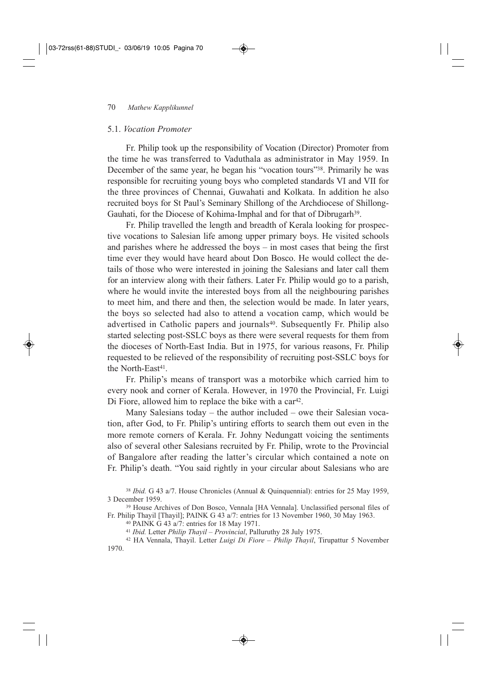### 5.1. *Vocation Promoter*

Fr. Philip took up the responsibility of Vocation (Director) Promoter from the time he was transferred to Vaduthala as administrator in May 1959. In December of the same year, he began his "vocation tours"<sup>38</sup>. Primarily he was responsible for recruiting young boys who completed standards VI and VII for the three provinces of Chennai, Guwahati and Kolkata. In addition he also recruited boys for St Paul's Seminary Shillong of the Archdiocese of Shillong-Gauhati, for the Diocese of Kohima-Imphal and for that of Dibrugarh<sup>39</sup>.

Fr. Philip travelled the length and breadth of Kerala looking for prospective vocations to Salesian life among upper primary boys. He visited schools and parishes where he addressed the boys – in most cases that being the first time ever they would have heard about Don Bosco. He would collect the details of those who were interested in joining the Salesians and later call them for an interview along with their fathers. Later Fr. Philip would go to a parish, where he would invite the interested boys from all the neighbouring parishes to meet him, and there and then, the selection would be made. In later years, the boys so selected had also to attend a vocation camp, which would be advertised in Catholic papers and journals<sup>40</sup>. Subsequently Fr. Philip also started selecting post-SSLC boys as there were several requests for them from the dioceses of North-East India. But in 1975, for various reasons, Fr. Philip requested to be relieved of the responsibility of recruiting post-SSLC boys for the North-East<sup>41</sup>.

Fr. Philip's means of transport was a motorbike which carried him to every nook and corner of Kerala. However, in 1970 the Provincial, Fr. Luigi Di Fiore, allowed him to replace the bike with a car<sup>42</sup>.

Many Salesians today – the author included – owe their Salesian vocation, after God, to Fr. Philip's untiring efforts to search them out even in the more remote corners of Kerala. Fr. Johny Nedungatt voicing the sentiments also of several other Salesians recruited by Fr. Philip, wrote to the Provincial of Bangalore after reading the latter's circular which contained a note on Fr. Philip's death. "You said rightly in your circular about Salesians who are

<sup>38</sup> *Ibid.* G 43 a/7. House Chronicles (Annual & Quinquennial): entries for 25 May 1959, 3 December 1959.

<sup>39</sup> House Archives of Don Bosco, Vennala [HA Vennala]. Unclassified personal files of Fr. Philip Thayil [Thayil]; PAINK G 43 a/7: entries for 13 November 1960, 30 May 1963.

<sup>40</sup> PAINK G 43 a/7: entries for 18 May 1971.

<sup>41</sup> *Ibid.* Letter *Philip Thayil – Provincial*, Palluruthy 28 July 1975.

<sup>42</sup> HA Vennala, Thayil. Letter *Luigi Di Fiore – Philip Thayil*, Tirupattur 5 November 1970.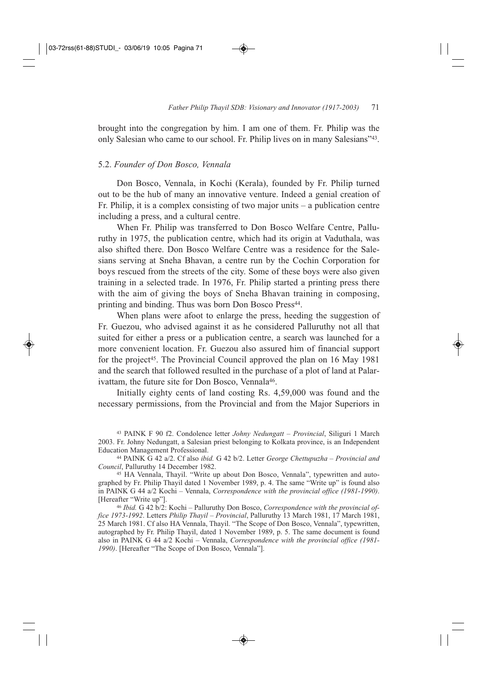brought into the congregation by him. I am one of them. Fr. Philip was the only Salesian who came to our school. Fr. Philip lives on in many Salesians"43.

### 5.2. *Founder of Don Bosco, Vennala*

Don Bosco, Vennala, in Kochi (Kerala), founded by Fr. Philip turned out to be the hub of many an innovative venture. Indeed a genial creation of Fr. Philip, it is a complex consisting of two major units – a publication centre including a press, and a cultural centre.

When Fr. Philip was transferred to Don Bosco Welfare Centre, Palluruthy in 1975, the publication centre, which had its origin at Vaduthala, was also shifted there. Don Bosco Welfare Centre was a residence for the Salesians serving at Sneha Bhavan, a centre run by the Cochin Corporation for boys rescued from the streets of the city. Some of these boys were also given training in a selected trade. In 1976, Fr. Philip started a printing press there with the aim of giving the boys of Sneha Bhavan training in composing, printing and binding. Thus was born Don Bosco Press<sup>44</sup>.

When plans were afoot to enlarge the press, heeding the suggestion of Fr. Guezou, who advised against it as he considered Palluruthy not all that suited for either a press or a publication centre, a search was launched for a more convenient location. Fr. Guezou also assured him of financial support for the project<sup>45</sup>. The Provincial Council approved the plan on 16 May 1981 and the search that followed resulted in the purchase of a plot of land at Palarivattam, the future site for Don Bosco, Vennala<sup>46</sup>.

Initially eighty cents of land costing Rs. 4,59,000 was found and the necessary permissions, from the Provincial and from the Major Superiors in

<sup>43</sup> PAINK F 90 f2. Condolence letter *Johny Nedungatt – Provincial*, Siliguri 1 March 2003. Fr. Johny Nedungatt, a Salesian priest belonging to Kolkata province, is an Independent Education Management Professional.

<sup>44</sup> PAINK G 42 a/2. Cf also *ibid.* G 42 b/2. Letter *George Chettupuzha – Provincial and Council*, Palluruthy 14 December 1982.

<sup>45</sup> HA Vennala, Thayil. "Write up about Don Bosco, Vennala", typewritten and autographed by Fr. Philip Thayil dated 1 November 1989, p. 4. The same "Write up" is found also in PAINK G 44 a/2 Kochi – Vennala, *Correspondence with the provincial office (1981-1990)*. [Hereafter "Write up"].

<sup>46</sup> *Ibid.* G 42 b/2: Kochi – Palluruthy Don Bosco, *Correspondence with the provincial office 1973-1992*. Letters *Philip Thayil – Provincial*, Palluruthy 13 March 1981, 17 March 1981, 25 March 1981. Cf also HA Vennala, Thayil. "The Scope of Don Bosco, Vennala", typewritten, autographed by Fr. Philip Thayil, dated 1 November 1989, p. 5. The same document is found also in PAINK G 44 a/2 Kochi – Vennala, *Correspondence with the provincial office (1981- 1990)*. [Hereafter "The Scope of Don Bosco, Vennala"].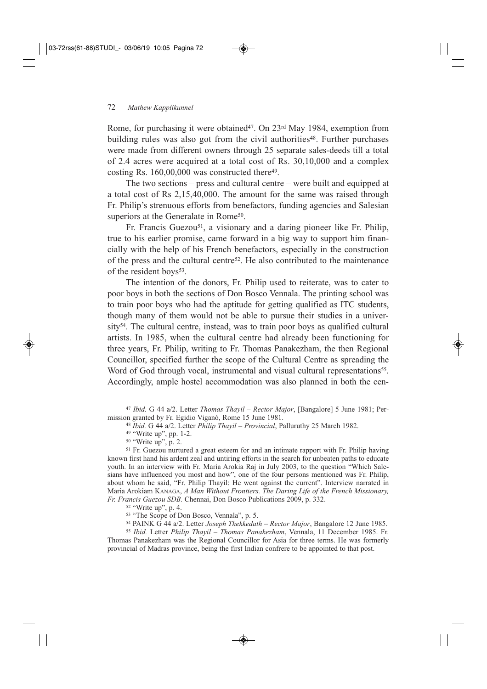Rome, for purchasing it were obtained<sup>47</sup>. On 23<sup>rd</sup> May 1984, exemption from building rules was also got from the civil authorities<sup>48</sup>. Further purchases were made from different owners through 25 separate sales-deeds till a total of 2.4 acres were acquired at a total cost of Rs. 30,10,000 and a complex costing Rs.  $160,00,000$  was constructed there<sup>49</sup>.

The two sections – press and cultural centre – were built and equipped at a total cost of Rs 2,15,40,000. The amount for the same was raised through Fr. Philip's strenuous efforts from benefactors, funding agencies and Salesian superiors at the Generalate in Rome<sup>50</sup>.

Fr. Francis Guezou<sup>51</sup>, a visionary and a daring pioneer like Fr. Philip, true to his earlier promise, came forward in a big way to support him financially with the help of his French benefactors, especially in the construction of the press and the cultural centre52. He also contributed to the maintenance of the resident boys<sup>53</sup>.

The intention of the donors, Fr. Philip used to reiterate, was to cater to poor boys in both the sections of Don Bosco Vennala. The printing school was to train poor boys who had the aptitude for getting qualified as ITC students, though many of them would not be able to pursue their studies in a university<sup>54</sup>. The cultural centre, instead, was to train poor boys as qualified cultural artists. In 1985, when the cultural centre had already been functioning for three years, Fr. Philip, writing to Fr. Thomas Panakezham, the then Regional Councillor, specified further the scope of the Cultural Centre as spreading the Word of God through vocal, instrumental and visual cultural representations<sup>55</sup>. Accordingly, ample hostel accommodation was also planned in both the cen-

<sup>47</sup> *Ibid.* G 44 a/2. Letter *Thomas Thayil – Rector Major*, [Bangalore] 5 June 1981; Permission granted by Fr. Egidio Viganò, Rome 15 June 1981.

#### <sup>48</sup> *Ibid.* G 44 a/2. Letter *Philip Thayil – Provincial*, Palluruthy 25 March 1982.

<sup>49</sup> "Write up", pp. 1-2.

<sup>50</sup> "Write up", p. 2.

<sup>51</sup> Fr. Guezou nurtured a great esteem for and an intimate rapport with Fr. Philip having known first hand his ardent zeal and untiring efforts in the search for unbeaten paths to educate youth. In an interview with Fr. Maria Arokia Raj in July 2003, to the question "Which Salesians have influenced you most and how", one of the four persons mentioned was Fr. Philip, about whom he said, "Fr. Philip Thayil: He went against the current". Interview narrated in Maria Arokiam KANAGA, *A Man Without Frontiers. The Daring Life of the French Missionary, Fr. Francis Guezou SDB.* Chennai, Don Bosco Publications 2009, p. 332.

<sup>52</sup> "Write up", p. 4.

<sup>53</sup> "The Scope of Don Bosco, Vennala", p. 5.

<sup>54</sup> PAINK G 44 a/2. Letter *Joseph Thekkedath – Rector Major*, Bangalore 12 June 1985.

<sup>55</sup> *Ibid.* Letter *Philip Thayil – Thomas Panakezham*, Vennala, 11 December 1985. Fr. Thomas Panakezham was the Regional Councillor for Asia for three terms. He was formerly provincial of Madras province, being the first Indian confrere to be appointed to that post.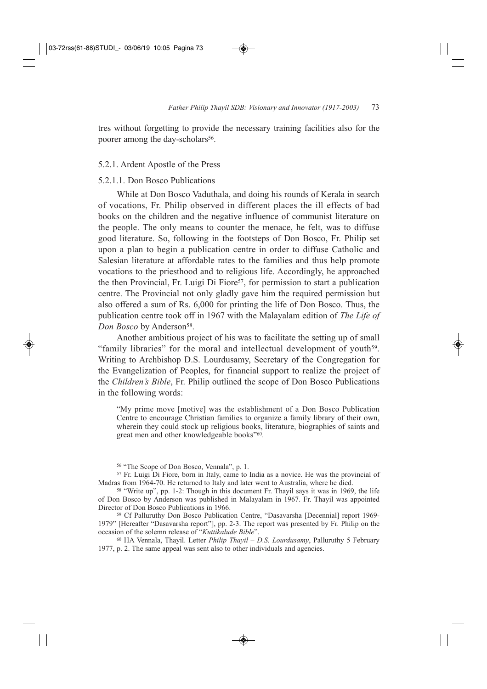tres without forgetting to provide the necessary training facilities also for the poorer among the day-scholars<sup>56</sup>.

### 5.2.1. Ardent Apostle of the Press

### 5.2.1.1. Don Bosco Publications

While at Don Bosco Vaduthala, and doing his rounds of Kerala in search of vocations, Fr. Philip observed in different places the ill effects of bad books on the children and the negative influence of communist literature on the people. The only means to counter the menace, he felt, was to diffuse good literature. So, following in the footsteps of Don Bosco, Fr. Philip set upon a plan to begin a publication centre in order to diffuse Catholic and Salesian literature at affordable rates to the families and thus help promote vocations to the priesthood and to religious life. Accordingly, he approached the then Provincial, Fr. Luigi Di Fiore<sup>57</sup>, for permission to start a publication centre. The Provincial not only gladly gave him the required permission but also offered a sum of Rs. 6,000 for printing the life of Don Bosco. Thus, the publication centre took off in 1967 with the Malayalam edition of *The Life of* Don Bosco by Anderson<sup>58</sup>.

Another ambitious project of his was to facilitate the setting up of small "family libraries" for the moral and intellectual development of youth59. Writing to Archbishop D.S. Lourdusamy, Secretary of the Congregation for the Evangelization of Peoples, for financial support to realize the project of the *Children's Bible*, Fr. Philip outlined the scope of Don Bosco Publications in the following words:

"My prime move [motive] was the establishment of a Don Bosco Publication Centre to encourage Christian families to organize a family library of their own, wherein they could stock up religious books, literature, biographies of saints and great men and other knowledgeable books"60.

<sup>56</sup> "The Scope of Don Bosco, Vennala", p. 1.

<sup>57</sup> Fr. Luigi Di Fiore, born in Italy, came to India as a novice. He was the provincial of Madras from 1964-70. He returned to Italy and later went to Australia, where he died.

<sup>58</sup> "Write up", pp. 1-2: Though in this document Fr. Thayil says it was in 1969, the life of Don Bosco by Anderson was published in Malayalam in 1967. Fr. Thayil was appointed Director of Don Bosco Publications in 1966.

<sup>59</sup> Cf Palluruthy Don Bosco Publication Centre, "Dasavarsha [Decennial] report 1969- 1979" [Hereafter "Dasavarsha report"], pp. 2-3. The report was presented by Fr. Philip on the occasion of the solemn release of "*Kuttikalude Bible*".

<sup>60</sup> HA Vennala, Thayil. Letter *Philip Thayil – D.S. Lourdusamy*, Palluruthy 5 February 1977, p. 2. The same appeal was sent also to other individuals and agencies.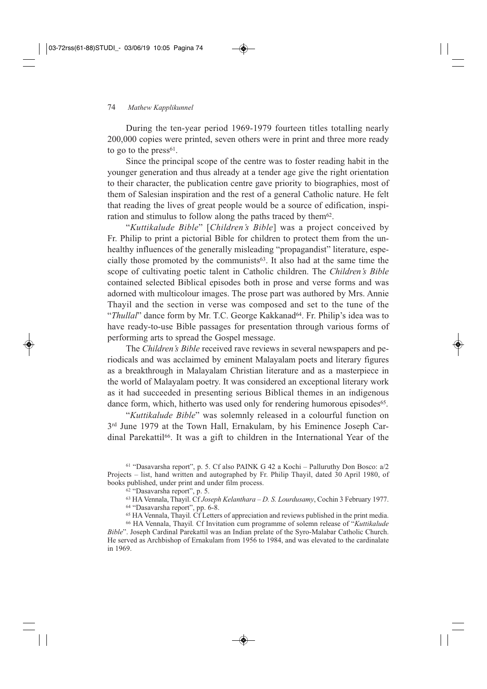During the ten-year period 1969-1979 fourteen titles totalling nearly 200,000 copies were printed, seven others were in print and three more ready to go to the  $press<sup>61</sup>$ .

Since the principal scope of the centre was to foster reading habit in the younger generation and thus already at a tender age give the right orientation to their character, the publication centre gave priority to biographies, most of them of Salesian inspiration and the rest of a general Catholic nature. He felt that reading the lives of great people would be a source of edification, inspiration and stimulus to follow along the paths traced by them $62$ .

"*Kuttikalude Bible*" [*Children's Bible*] was a project conceived by Fr. Philip to print a pictorial Bible for children to protect them from the unhealthy influences of the generally misleading "propagandist" literature, especially those promoted by the communists<sup>63</sup>. It also had at the same time the scope of cultivating poetic talent in Catholic children. The *Children's Bible* contained selected Biblical episodes both in prose and verse forms and was adorned with multicolour images. The prose part was authored by Mrs. Annie Thayil and the section in verse was composed and set to the tune of the "*Thullal*" dance form by Mr. T.C. George Kakkanad<sup>64</sup>. Fr. Philip's idea was to have ready-to-use Bible passages for presentation through various forms of performing arts to spread the Gospel message.

The *Children's Bible* received rave reviews in several newspapers and periodicals and was acclaimed by eminent Malayalam poets and literary figures as a breakthrough in Malayalam Christian literature and as a masterpiece in the world of Malayalam poetry. It was considered an exceptional literary work as it had succeeded in presenting serious Biblical themes in an indigenous dance form, which, hitherto was used only for rendering humorous episodes<sup>65</sup>.

"*Kuttikalude Bible*" was solemnly released in a colourful function on 3rd June 1979 at the Town Hall, Ernakulam, by his Eminence Joseph Cardinal Parekattil<sup>66</sup>. It was a gift to children in the International Year of the

<sup>61</sup> "Dasavarsha report", p. 5. Cf also PAINK G 42 a Kochi – Palluruthy Don Bosco: a/2 Projects – list, hand written and autographed by Fr. Philip Thayil, dated 30 April 1980, of books published, under print and under film process.

<sup>62</sup> "Dasavarsha report", p. 5.

<sup>63</sup> HA Vennala, Thayil. Cf *Joseph Kelanthara – D. S. Lourdusamy*, Cochin 3 February 1977. <sup>64</sup> "Dasavarsha report", pp. 6-8.

<sup>65</sup> HA Vennala, Thayil*.* Cf Letters of appreciation and reviews published in the print media.

<sup>66</sup> HA Vennala, Thayil*.* Cf Invitation cum programme of solemn release of "*Kuttikalude Bible*". Joseph Cardinal Parekattil was an Indian prelate of the Syro-Malabar Catholic Church. He served as Archbishop of Ernakulam from 1956 to 1984, and was elevated to the cardinalate in 1969.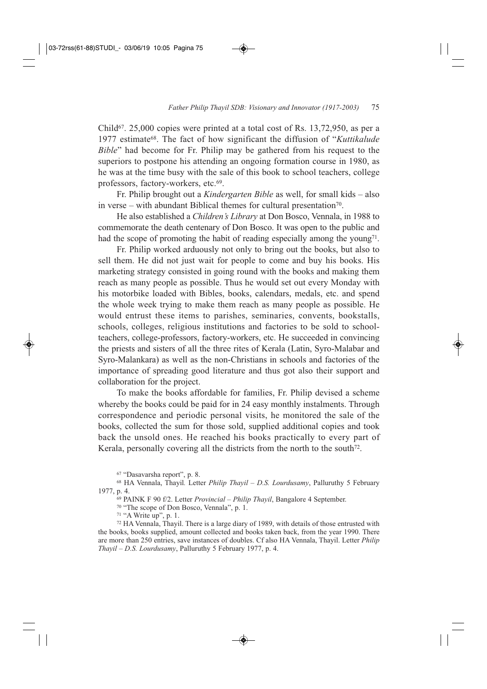Child<sup>67</sup>. 25,000 copies were printed at a total cost of Rs. 13,72,950, as per a 1977 estimate68. The fact of how significant the diffusion of "*Kuttikalude Bible*" had become for Fr. Philip may be gathered from his request to the superiors to postpone his attending an ongoing formation course in 1980, as he was at the time busy with the sale of this book to school teachers, college professors, factory-workers, etc.69.

Fr. Philip brought out a *Kindergarten Bible* as well, for small kids – also in verse – with abundant Biblical themes for cultural presentation<sup>70</sup>.

He also established a *Children's Library* at Don Bosco, Vennala, in 1988 to commemorate the death centenary of Don Bosco. It was open to the public and had the scope of promoting the habit of reading especially among the young<sup>71</sup>.

Fr. Philip worked arduously not only to bring out the books, but also to sell them. He did not just wait for people to come and buy his books. His marketing strategy consisted in going round with the books and making them reach as many people as possible. Thus he would set out every Monday with his motorbike loaded with Bibles, books, calendars, medals, etc. and spend the whole week trying to make them reach as many people as possible. He would entrust these items to parishes, seminaries, convents, bookstalls, schools, colleges, religious institutions and factories to be sold to schoolteachers, college-professors, factory-workers, etc. He succeeded in convincing the priests and sisters of all the three rites of Kerala (Latin, Syro-Malabar and Syro-Malankara) as well as the non-Christians in schools and factories of the importance of spreading good literature and thus got also their support and collaboration for the project.

To make the books affordable for families, Fr. Philip devised a scheme whereby the books could be paid for in 24 easy monthly instalments. Through correspondence and periodic personal visits, he monitored the sale of the books, collected the sum for those sold, supplied additional copies and took back the unsold ones. He reached his books practically to every part of Kerala, personally covering all the districts from the north to the south<sup>72</sup>.

<sup>67</sup> "Dasavarsha report", p. 8.

<sup>68</sup> HA Vennala, Thayil*.* Letter *Philip Thayil – D.S. Lourdusamy*, Palluruthy 5 February 1977, p. 4.

<sup>69</sup> PAINK F 90 f/2. Letter *Provincial – Philip Thayil*, Bangalore 4 September.

<sup>70</sup> "The scope of Don Bosco, Vennala", p. 1.

<sup>71</sup> "A Write up", p. 1.

<sup>72</sup> HA Vennala, Thayil. There is a large diary of 1989, with details of those entrusted with the books, books supplied, amount collected and books taken back, from the year 1990. There are more than 250 entries, save instances of doubles. Cf also HA Vennala, Thayil. Letter *Philip Thayil – D.S. Lourdusamy*, Palluruthy 5 February 1977, p. 4.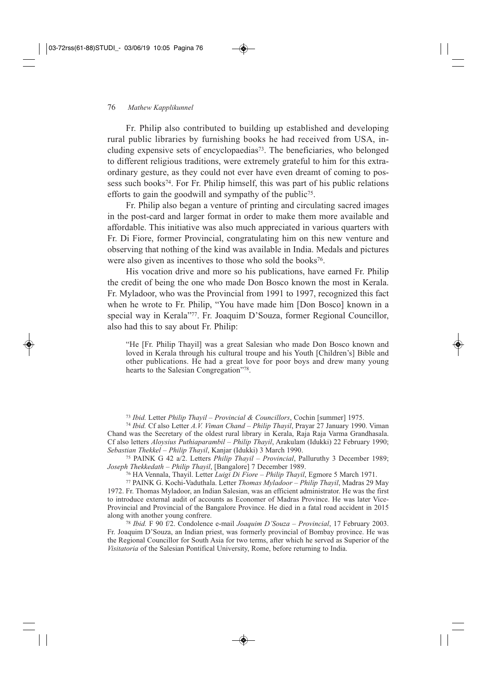Fr. Philip also contributed to building up established and developing rural public libraries by furnishing books he had received from USA, including expensive sets of encyclopaedias73. The beneficiaries, who belonged to different religious traditions, were extremely grateful to him for this extraordinary gesture, as they could not ever have even dreamt of coming to possess such books<sup>74</sup>. For Fr. Philip himself, this was part of his public relations efforts to gain the goodwill and sympathy of the public<sup>75</sup>.

Fr. Philip also began a venture of printing and circulating sacred images in the post-card and larger format in order to make them more available and affordable. This initiative was also much appreciated in various quarters with Fr. Di Fiore, former Provincial, congratulating him on this new venture and observing that nothing of the kind was available in India. Medals and pictures were also given as incentives to those who sold the books<sup>76</sup>.

His vocation drive and more so his publications, have earned Fr. Philip the credit of being the one who made Don Bosco known the most in Kerala. Fr. Myladoor, who was the Provincial from 1991 to 1997, recognized this fact when he wrote to Fr. Philip, "You have made him [Don Bosco] known in a special way in Kerala"<sup>77</sup>. Fr. Joaquim D'Souza, former Regional Councillor, also had this to say about Fr. Philip:

"He [Fr. Philip Thayil] was a great Salesian who made Don Bosco known and loved in Kerala through his cultural troupe and his Youth [Children's] Bible and other publications. He had a great love for poor boys and drew many young hearts to the Salesian Congregation"78.

<sup>73</sup> *Ibid.* Letter *Philip Thayil – Provincial & Councillors*, Cochin [summer] 1975.

<sup>74</sup> *Ibid.* Cf also Letter *A.V. Viman Chand – Philip Thayil*, Prayar 27 January 1990. Viman Chand was the Secretary of the oldest rural library in Kerala, Raja Raja Varma Grandhasala. Cf also letters *Aloysius Puthiaparambil – Philip Thayil*, Arakulam (Idukki) 22 February 1990; *Sebastian Thekkel – Philip Thayil*, Kanjar (Idukki) 3 March 1990.

<sup>75</sup> PAINK G 42 a/2. Letters *Philip Thayil – Provincial*, Palluruthy 3 December 1989; *Joseph Thekkedath – Philip Thayil*, [Bangalore] 7 December 1989.

<sup>76</sup> HA Vennala, Thayil. Letter *Luigi Di Fiore – Philip Thayil*, Egmore 5 March 1971.

<sup>77</sup> PAINK G. Kochi-Vaduthala. Letter *Thomas Myladoor – Philip Thayil*, Madras 29 May 1972. Fr. Thomas Myladoor, an Indian Salesian, was an efficient administrator. He was the first to introduce external audit of accounts as Economer of Madras Province. He was later Vice-Provincial and Provincial of the Bangalore Province. He died in a fatal road accident in 2015 along with another young confrere.

<sup>78</sup> *Ibid.* F 90 f/2. Condolence e-mail *Joaquim D'Souza – Provincial*, 17 February 2003. Fr. Joaquim D'Souza, an Indian priest, was formerly provincial of Bombay province. He was the Regional Councillor for South Asia for two terms, after which he served as Superior of the *Visitatoria* of the Salesian Pontifical University, Rome, before returning to India.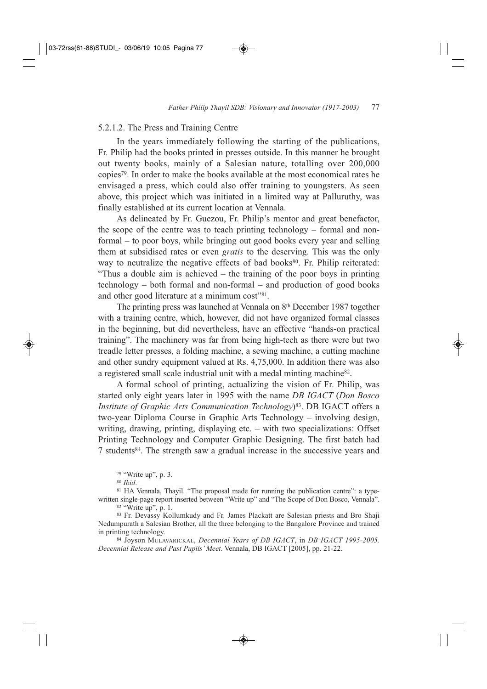### 5.2.1.2. The Press and Training Centre

In the years immediately following the starting of the publications, Fr. Philip had the books printed in presses outside. In this manner he brought out twenty books, mainly of a Salesian nature, totalling over 200,000 copies79. In order to make the books available at the most economical rates he envisaged a press, which could also offer training to youngsters. As seen above, this project which was initiated in a limited way at Palluruthy, was finally established at its current location at Vennala.

As delineated by Fr. Guezou, Fr. Philip's mentor and great benefactor, the scope of the centre was to teach printing technology – formal and nonformal – to poor boys, while bringing out good books every year and selling them at subsidised rates or even *gratis* to the deserving. This was the only way to neutralize the negative effects of bad books<sup>80</sup>. Fr. Philip reiterated: "Thus a double aim is achieved – the training of the poor boys in printing technology – both formal and non-formal – and production of good books and other good literature at a minimum cost"81.

The printing press was launched at Vennala on 8<sup>th</sup> December 1987 together with a training centre, which, however, did not have organized formal classes in the beginning, but did nevertheless, have an effective "hands-on practical training". The machinery was far from being high-tech as there were but two treadle letter presses, a folding machine, a sewing machine, a cutting machine and other sundry equipment valued at Rs. 4,75,000. In addition there was also a registered small scale industrial unit with a medal minting machine82.

A formal school of printing, actualizing the vision of Fr. Philip, was started only eight years later in 1995 with the name *DB IGACT* (*Don Bosco Institute of Graphic Arts Communication Technology*)83. DB IGACT offers a two-year Diploma Course in Graphic Arts Technology – involving design, writing, drawing, printing, displaying etc. – with two specializations: Offset Printing Technology and Computer Graphic Designing. The first batch had 7 students84. The strength saw a gradual increase in the successive years and

<sup>79</sup> "Write up", p. 3.

<sup>80</sup> *Ibid*.

<sup>81</sup> HA Vennala, Thayil. "The proposal made for running the publication centre": a typewritten single-page report inserted between "Write up" and "The Scope of Don Bosco, Vennala". <sup>82</sup> "Write up", p. 1.

<sup>83</sup> Fr. Devassy Kollumkudy and Fr. James Plackatt are Salesian priests and Bro Shaji Nedumpurath a Salesian Brother, all the three belonging to the Bangalore Province and trained in printing technology.

<sup>84</sup> Joyson MULAVARICKAL, *Decennial Years of DB IGACT*, in *DB IGACT 1995-2005. Decennial Release and Past Pupils' Meet.* Vennala, DB IGACT [2005], pp. 21-22.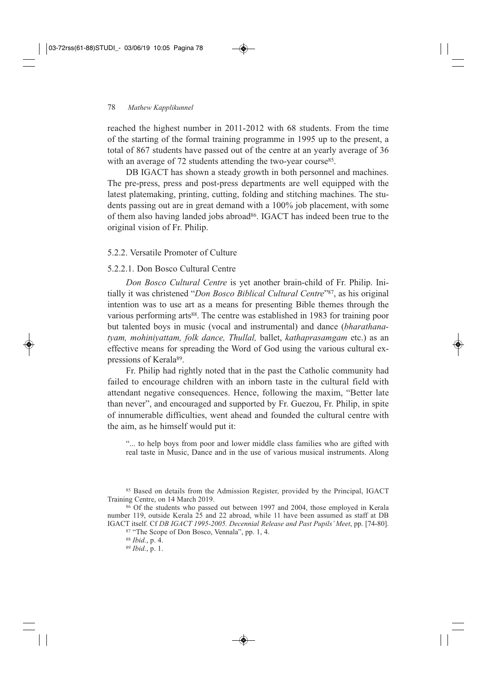reached the highest number in 2011-2012 with 68 students. From the time of the starting of the formal training programme in 1995 up to the present, a total of 867 students have passed out of the centre at an yearly average of 36 with an average of 72 students attending the two-year course<sup>85</sup>.

DB IGACT has shown a steady growth in both personnel and machines. The pre-press, press and post-press departments are well equipped with the latest platemaking, printing, cutting, folding and stitching machines. The students passing out are in great demand with a 100% job placement, with some of them also having landed jobs abroad<sup>86</sup>. IGACT has indeed been true to the original vision of Fr. Philip.

## 5.2.2. Versatile Promoter of Culture

### 5.2.2.1. Don Bosco Cultural Centre

*Don Bosco Cultural Centre* is yet another brain-child of Fr. Philip. Initially it was christened "*Don Bosco Biblical Cultural Centre*"87, as his original intention was to use art as a means for presenting Bible themes through the various performing arts<sup>88</sup>. The centre was established in 1983 for training poor but talented boys in music (vocal and instrumental) and dance (*bharathana tyam, mohiniyattam, folk dance, Thullal,* ballet, *kathaprasamgam* etc.) as an effective means for spreading the Word of God using the various cultural expressions of Kerala<sup>89</sup>.

Fr. Philip had rightly noted that in the past the Catholic community had failed to encourage children with an inborn taste in the cultural field with attendant negative consequences. Hence, following the maxim, "Better late than never", and encouraged and supported by Fr. Guezou, Fr. Philip, in spite of innumerable difficulties, went ahead and founded the cultural centre with the aim, as he himself would put it:

"... to help boys from poor and lower middle class families who are gifted with real taste in Music, Dance and in the use of various musical instruments. Along

<sup>85</sup> Based on details from the Admission Register, provided by the Principal, IGACT Training Centre, on 14 March 2019.

<sup>86</sup> Of the students who passed out between 1997 and 2004, those employed in Kerala number 119, outside Kerala 25 and 22 abroad, while 11 have been assumed as staff at DB IGACT itself. Cf *DB IGACT 1995-2005. Decennial Release and Past Pupils' Meet*, pp. [74-80].

<sup>87</sup> "The Scope of Don Bosco, Vennala", pp. 1, 4.

<sup>88</sup> *Ibid.*, p. 4.

<sup>89</sup> *Ibid.*, p. 1.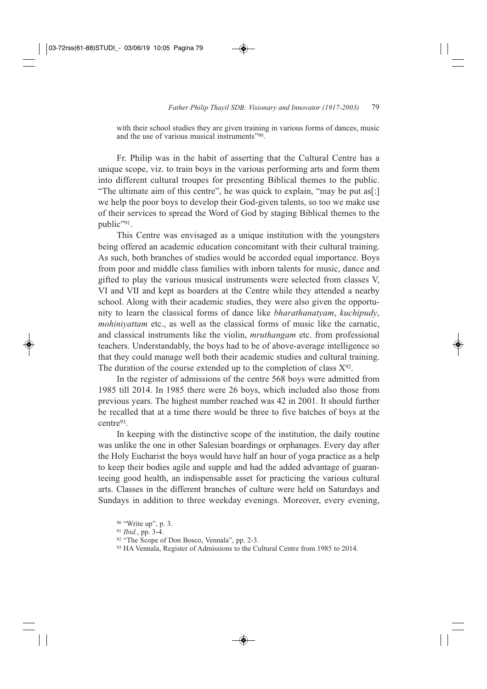with their school studies they are given training in various forms of dances, music and the use of various musical instruments"90.

Fr. Philip was in the habit of asserting that the Cultural Centre has a unique scope, viz. to train boys in the various performing arts and form them into different cultural troupes for presenting Biblical themes to the public. "The ultimate aim of this centre", he was quick to explain, "may be put as[:] we help the poor boys to develop their God-given talents, so too we make use of their services to spread the Word of God by staging Biblical themes to the public"91.

This Centre was envisaged as a unique institution with the youngsters being offered an academic education concomitant with their cultural training. As such, both branches of studies would be accorded equal importance. Boys from poor and middle class families with inborn talents for music, dance and gifted to play the various musical instruments were selected from classes V, VI and VII and kept as boarders at the Centre while they attended a nearby school. Along with their academic studies, they were also given the opportunity to learn the classical forms of dance like *bharathanatyam*, *kuchipudy*, *mohiniyattam* etc., as well as the classical forms of music like the carnatic, and classical instruments like the violin, *mruthangam* etc. from professional teachers. Understandably, the boys had to be of above-average intelligence so that they could manage well both their academic studies and cultural training. The duration of the course extended up to the completion of class  $X^{92}$ .

In the register of admissions of the centre 568 boys were admitted from 1985 till 2014. In 1985 there were 26 boys, which included also those from previous years. The highest number reached was 42 in 2001. It should further be recalled that at a time there would be three to five batches of boys at the centre93.

In keeping with the distinctive scope of the institution, the daily routine was unlike the one in other Salesian boardings or orphanages. Every day after the Holy Eucharist the boys would have half an hour of yoga practice as a help to keep their bodies agile and supple and had the added advantage of guaranteeing good health, an indispensable asset for practicing the various cultural arts. Classes in the different branches of culture were held on Saturdays and Sundays in addition to three weekday evenings. Moreover, every evening,

<sup>90</sup> "Write up", p. 3.

<sup>91</sup> *Ibid.*, pp. 3-4.

<sup>92</sup> "The Scope of Don Bosco, Vennala", pp. 2-3.

<sup>93</sup> HA Vennala, Register of Admissions to the Cultural Centre from 1985 to 2014.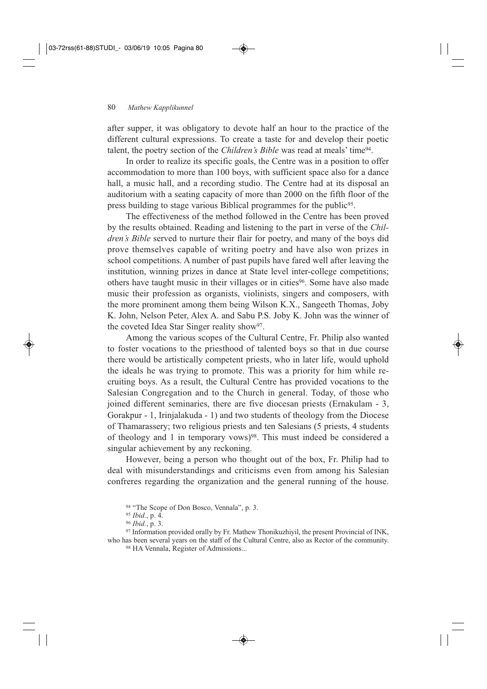after supper, it was obligatory to devote half an hour to the practice of the different cultural expressions. To create a taste for and develop their poetic talent, the poetry section of the *Children's Bible* was read at meals' time94.

In order to realize its specific goals, the Centre was in a position to offer accommodation to more than 100 boys, with sufficient space also for a dance hall, a music hall, and a recording studio. The Centre had at its disposal an auditorium with a seating capacity of more than 2000 on the fifth floor of the press building to stage various Biblical programmes for the public<sup>95</sup>.

The effectiveness of the method followed in the Centre has been proved by the results obtained. Reading and listening to the part in verse of the *Children's Bible* served to nurture their flair for poetry, and many of the boys did prove themselves capable of writing poetry and have also won prizes in school competitions. A number of past pupils have fared well after leaving the institution, winning prizes in dance at State level inter-college competitions; others have taught music in their villages or in cities96. Some have also made music their profession as organists, violinists, singers and composers, with the more prominent among them being Wilson K.X., Sangeeth Thomas, Joby K. John, Nelson Peter, Alex A. and Sabu P.S. Joby K. John was the winner of the coveted Idea Star Singer reality show97.

Among the various scopes of the Cultural Centre, Fr. Philip also wanted to foster vocations to the priesthood of talented boys so that in due course there would be artistically competent priests, who in later life, would uphold the ideals he was trying to promote. This was a priority for him while recruiting boys. As a result, the Cultural Centre has provided vocations to the Salesian Congregation and to the Church in general. Today, of those who joined different seminaries, there are five diocesan priests (Ernakulam - 3, Gorakpur - 1, Irinjalakuda - 1) and two students of theology from the Diocese of Thamarassery; two religious priests and ten Salesians (5 priests, 4 students of theology and 1 in temporary vows)<sup>98</sup>. This must indeed be considered a singular achievement by any reckoning.

However, being a person who thought out of the box, Fr. Philip had to deal with misunderstandings and criticisms even from among his Salesian confreres regarding the organization and the general running of the house.

<sup>94 &</sup>quot;The Scope of Don Bosco, Vennala", p. 3.

<sup>95</sup> *Ibid.*, p. 4.

<sup>96</sup> *Ibid.*, p. 3.

<sup>97</sup> Information provided orally by Fr. Mathew Thonikuzhiyil, the present Provincial of INK, who has been several years on the staff of the Cultural Centre, also as Rector of the community.

<sup>98</sup> HA Vennala, Register of Admissions...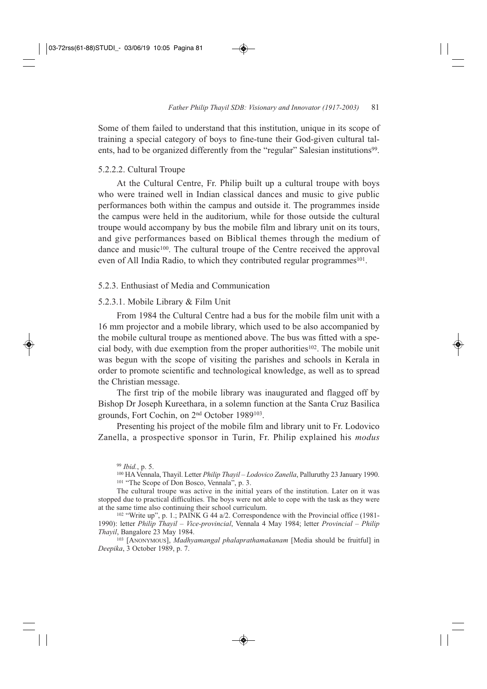Some of them failed to understand that this institution, unique in its scope of training a special category of boys to fine-tune their God-given cultural talents, had to be organized differently from the "regular" Salesian institutions<sup>99</sup>.

### 5.2.2.2. Cultural Troupe

At the Cultural Centre, Fr. Philip built up a cultural troupe with boys who were trained well in Indian classical dances and music to give public performances both within the campus and outside it. The programmes inside the campus were held in the auditorium, while for those outside the cultural troupe would accompany by bus the mobile film and library unit on its tours, and give performances based on Biblical themes through the medium of dance and music<sup>100</sup>. The cultural troupe of the Centre received the approval even of All India Radio, to which they contributed regular programmes<sup>101</sup>.

### 5.2.3. Enthusiast of Media and Communication

### 5.2.3.1. Mobile Library & Film Unit

From 1984 the Cultural Centre had a bus for the mobile film unit with a 16 mm projector and a mobile library, which used to be also accompanied by the mobile cultural troupe as mentioned above. The bus was fitted with a special body, with due exemption from the proper authorities102. The mobile unit was begun with the scope of visiting the parishes and schools in Kerala in order to promote scientific and technological knowledge, as well as to spread the Christian message.

The first trip of the mobile library was inaugurated and flagged off by Bishop Dr Joseph Kureethara, in a solemn function at the Santa Cruz Basilica grounds, Fort Cochin, on 2nd October 1989103.

Presenting his project of the mobile film and library unit to Fr. Lodovico Zanella, a prospective sponsor in Turin, Fr. Philip explained his *modus*

<sup>100</sup> HA Vennala, Thayil. Letter *Philip Thayil – Lodovico Zanella*, Palluruthy 23 January 1990. <sup>101</sup> "The Scope of Don Bosco, Vennala", p. 3.

The cultural troupe was active in the initial years of the institution. Later on it was stopped due to practical difficulties. The boys were not able to cope with the task as they were at the same time also continuing their school curriculum.

<sup>102</sup> "Write up", p. 1.; PAINK G 44 a/2. Correspondence with the Provincial office (1981-1990): letter *Philip Thayil – Vice-provincial*, Vennala 4 May 1984; letter *Provincial – Philip Thayil*, Bangalore 23 May 1984.

<sup>103</sup> [ANONYMOUS], *Madhyamangal phalaprathamakanam* [Media should be fruitful] in *Deepika*, 3 October 1989, p. 7.

<sup>99</sup> *Ibid.*, p. 5.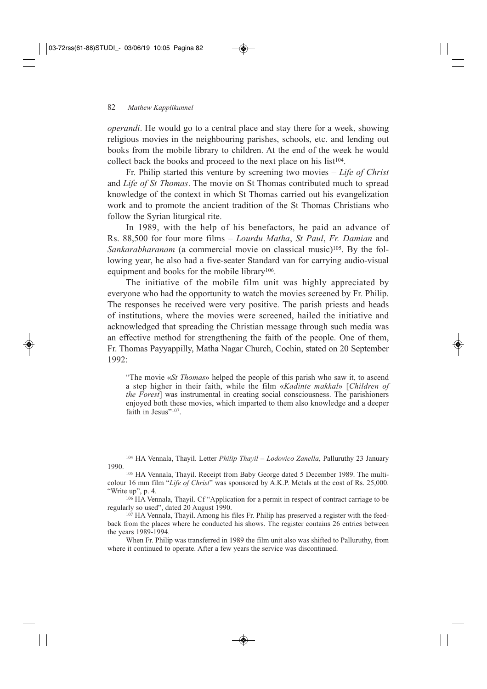*operandi*. He would go to a central place and stay there for a week, showing religious movies in the neighbouring parishes, schools, etc. and lending out books from the mobile library to children. At the end of the week he would collect back the books and proceed to the next place on his list<sup>104</sup>.

Fr. Philip started this venture by screening two movies – *Life of Christ* and *Life of St Thomas*. The movie on St Thomas contributed much to spread knowledge of the context in which St Thomas carried out his evangelization work and to promote the ancient tradition of the St Thomas Christians who follow the Syrian liturgical rite.

In 1989, with the help of his benefactors, he paid an advance of Rs. 88,500 for four more films – *Lourdu Matha*, *St Paul*, *Fr. Damian* and *Sankarabharanam* (a commercial movie on classical music)<sup>105</sup>. By the following year, he also had a five-seater Standard van for carrying audio-visual equipment and books for the mobile library<sup>106</sup>.

The initiative of the mobile film unit was highly appreciated by everyone who had the opportunity to watch the movies screened by Fr. Philip. The responses he received were very positive. The parish priests and heads of institutions, where the movies were screened, hailed the initiative and acknowledged that spreading the Christian message through such media was an effective method for strengthening the faith of the people. One of them, Fr. Thomas Payyappilly, Matha Nagar Church, Cochin, stated on 20 September 1992:

"The movie «*St Thomas*» helped the people of this parish who saw it, to ascend a step higher in their faith, while the film «*Kadinte makkal*» [*Children of the Forest*] was instrumental in creating social consciousness. The parishioners enjoyed both these movies, which imparted to them also knowledge and a deeper faith in Jesus"<sup>107</sup>.

<sup>104</sup> HA Vennala, Thayil. Letter *Philip Thayil – Lodovico Zanella*, Palluruthy 23 January 1990.

<sup>105</sup> HA Vennala, Thayil. Receipt from Baby George dated 5 December 1989. The multicolour 16 mm film "*Life of Christ*" was sponsored by A.K.P. Metals at the cost of Rs. 25,000. "Write up", p. 4.

<sup>106</sup> HA Vennala, Thayil. Cf "Application for a permit in respect of contract carriage to be regularly so used", dated 20 August 1990.

<sup>107</sup> HA Vennala, Thayil. Among his files Fr. Philip has preserved a register with the feedback from the places where he conducted his shows. The register contains 26 entries between the years 1989-1994.

When Fr. Philip was transferred in 1989 the film unit also was shifted to Palluruthy, from where it continued to operate. After a few years the service was discontinued.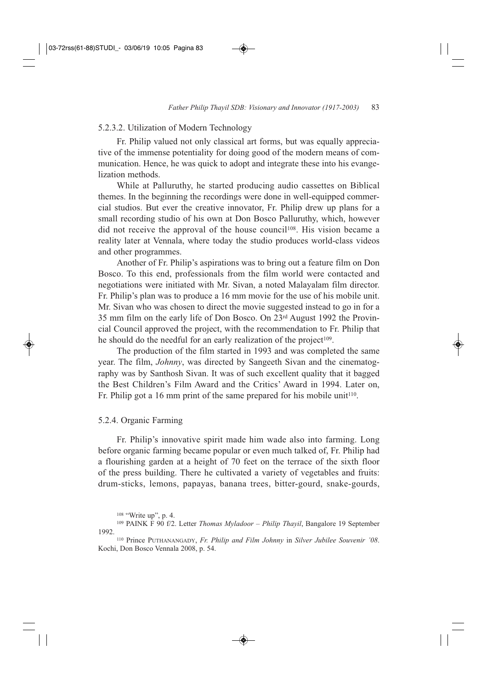### 5.2.3.2. Utilization of Modern Technology

Fr. Philip valued not only classical art forms, but was equally appreciative of the immense potentiality for doing good of the modern means of communication. Hence, he was quick to adopt and integrate these into his evangelization methods.

While at Palluruthy, he started producing audio cassettes on Biblical themes. In the beginning the recordings were done in well-equipped commercial studios. But ever the creative innovator, Fr. Philip drew up plans for a small recording studio of his own at Don Bosco Palluruthy, which, however did not receive the approval of the house council<sup>108</sup>. His vision became a reality later at Vennala, where today the studio produces world-class videos and other programmes.

Another of Fr. Philip's aspirations was to bring out a feature film on Don Bosco. To this end, professionals from the film world were contacted and negotiations were initiated with Mr. Sivan, a noted Malayalam film director. Fr. Philip's plan was to produce a 16 mm movie for the use of his mobile unit. Mr. Sivan who was chosen to direct the movie suggested instead to go in for a 35 mm film on the early life of Don Bosco. On 23rd August 1992 the Provincial Council approved the project, with the recommendation to Fr. Philip that he should do the needful for an early realization of the project $109$ .

The production of the film started in 1993 and was completed the same year. The film, *Johnny*, was directed by Sangeeth Sivan and the cinematography was by Santhosh Sivan. It was of such excellent quality that it bagged the Best Children's Film Award and the Critics' Award in 1994. Later on, Fr. Philip got a 16 mm print of the same prepared for his mobile unit<sup>110</sup>.

### 5.2.4. Organic Farming

Fr. Philip's innovative spirit made him wade also into farming. Long before organic farming became popular or even much talked of, Fr. Philip had a flourishing garden at a height of 70 feet on the terrace of the sixth floor of the press building. There he cultivated a variety of vegetables and fruits: drum-sticks, lemons, papayas, banana trees, bitter-gourd, snake-gourds,

<sup>108</sup> "Write up", p. 4.

<sup>109</sup> PAINK F 90 f/2. Letter *Thomas Myladoor – Philip Thayil*, Bangalore 19 September 1992.

<sup>110</sup> Prince PUTHANANGADY, *Fr. Philip and Film Johnny* in *Silver Jubilee Souvenir '08*. Kochi, Don Bosco Vennala 2008, p. 54.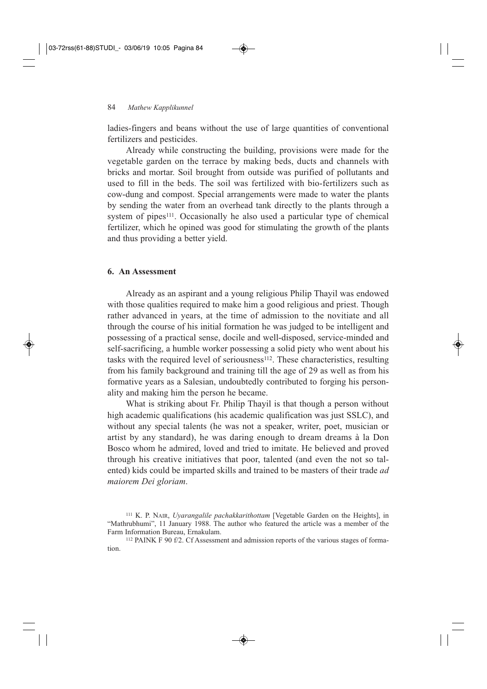ladies-fingers and beans without the use of large quantities of conventional fertilizers and pesticides.

Already while constructing the building, provisions were made for the vegetable garden on the terrace by making beds, ducts and channels with bricks and mortar. Soil brought from outside was purified of pollutants and used to fill in the beds. The soil was fertilized with bio-fertilizers such as cow-dung and compost. Special arrangements were made to water the plants by sending the water from an overhead tank directly to the plants through a system of pipes<sup>111</sup>. Occasionally he also used a particular type of chemical fertilizer, which he opined was good for stimulating the growth of the plants and thus providing a better yield.

### **6. An Assessment**

Already as an aspirant and a young religious Philip Thayil was endowed with those qualities required to make him a good religious and priest. Though rather advanced in years, at the time of admission to the novitiate and all through the course of his initial formation he was judged to be intelligent and possessing of a practical sense, docile and well-disposed, service-minded and self-sacrificing, a humble worker possessing a solid piety who went about his tasks with the required level of seriousness<sup>112</sup>. These characteristics, resulting from his family background and training till the age of 29 as well as from his formative years as a Salesian, undoubtedly contributed to forging his personality and making him the person he became.

What is striking about Fr. Philip Thayil is that though a person without high academic qualifications (his academic qualification was just SSLC), and without any special talents (he was not a speaker, writer, poet, musician or artist by any standard), he was daring enough to dream dreams à la Don Bosco whom he admired, loved and tried to imitate. He believed and proved through his creative initiatives that poor, talented (and even the not so talented) kids could be imparted skills and trained to be masters of their trade *ad maiorem Dei gloriam*.

<sup>111</sup> K. P. NAIR, *Uyarangalile pachakkarithottam* [Vegetable Garden on the Heights], in "Mathrubhumi", 11 January 1988. The author who featured the article was a member of the Farm Information Bureau, Ernakulam.

<sup>112</sup> PAINK F 90 f/2. Cf Assessment and admission reports of the various stages of formation.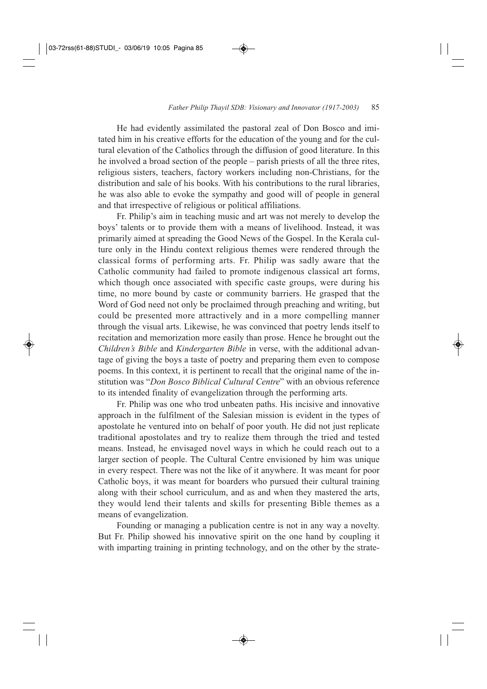He had evidently assimilated the pastoral zeal of Don Bosco and imitated him in his creative efforts for the education of the young and for the cultural elevation of the Catholics through the diffusion of good literature. In this he involved a broad section of the people – parish priests of all the three rites, religious sisters, teachers, factory workers including non-Christians, for the distribution and sale of his books. With his contributions to the rural libraries, he was also able to evoke the sympathy and good will of people in general and that irrespective of religious or political affiliations.

Fr. Philip's aim in teaching music and art was not merely to develop the boys' talents or to provide them with a means of livelihood. Instead, it was primarily aimed at spreading the Good News of the Gospel. In the Kerala culture only in the Hindu context religious themes were rendered through the classical forms of performing arts. Fr. Philip was sadly aware that the Catholic community had failed to promote indigenous classical art forms, which though once associated with specific caste groups, were during his time, no more bound by caste or community barriers. He grasped that the Word of God need not only be proclaimed through preaching and writing, but could be presented more attractively and in a more compelling manner through the visual arts. Likewise, he was convinced that poetry lends itself to recitation and memorization more easily than prose. Hence he brought out the *Children's Bible* and *Kindergarten Bible* in verse, with the additional advantage of giving the boys a taste of poetry and preparing them even to compose poems. In this context, it is pertinent to recall that the original name of the institution was "*Don Bosco Biblical Cultural Centre*" with an obvious reference to its intended finality of evangelization through the performing arts.

Fr. Philip was one who trod unbeaten paths. His incisive and innovative approach in the fulfilment of the Salesian mission is evident in the types of apostolate he ventured into on behalf of poor youth. He did not just replicate traditional apostolates and try to realize them through the tried and tested means. Instead, he envisaged novel ways in which he could reach out to a larger section of people. The Cultural Centre envisioned by him was unique in every respect. There was not the like of it anywhere. It was meant for poor Catholic boys, it was meant for boarders who pursued their cultural training along with their school curriculum, and as and when they mastered the arts, they would lend their talents and skills for presenting Bible themes as a means of evangelization.

Founding or managing a publication centre is not in any way a novelty. But Fr. Philip showed his innovative spirit on the one hand by coupling it with imparting training in printing technology, and on the other by the strate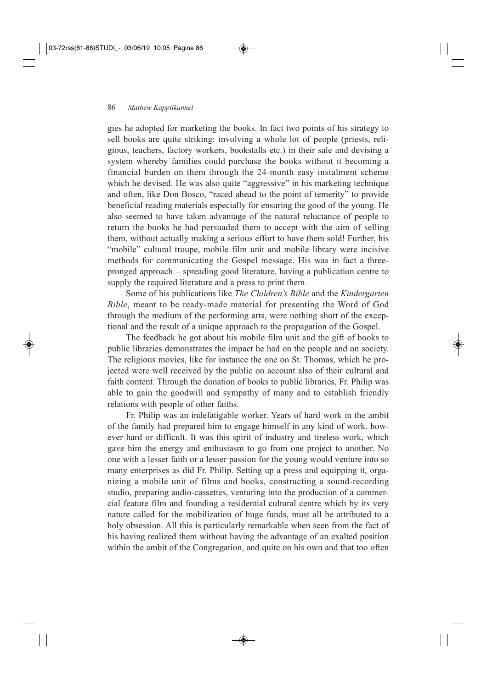gies he adopted for marketing the books. In fact two points of his strategy to sell books are quite striking: involving a whole lot of people (priests, religious, teachers, factory workers, bookstalls etc.) in their sale and devising a system whereby families could purchase the books without it becoming a financial burden on them through the 24-month easy instalment scheme which he devised. He was also quite "aggressive" in his marketing technique and often, like Don Bosco, "raced ahead to the point of temerity" to provide beneficial reading materials especially for ensuring the good of the young. He also seemed to have taken advantage of the natural reluctance of people to return the books he had persuaded them to accept with the aim of selling them, without actually making a serious effort to have them sold! Further, his "mobile" cultural troupe, mobile film unit and mobile library were incisive methods for communicating the Gospel message. His was in fact a threepronged approach – spreading good literature, having a publication centre to supply the required literature and a press to print them.

Some of his publications like *The Children's Bible* and the *Kindergarten Bible*, meant to be ready-made material for presenting the Word of God through the medium of the performing arts, were nothing short of the exceptional and the result of a unique approach to the propagation of the Gospel.

The feedback he got about his mobile film unit and the gift of books to public libraries demonstrates the impact he had on the people and on society. The religious movies, like for instance the one on St. Thomas, which he projected were well received by the public on account also of their cultural and faith content. Through the donation of books to public libraries, Fr. Philip was able to gain the goodwill and sympathy of many and to establish friendly relations with people of other faiths.

Fr. Philip was an indefatigable worker. Years of hard work in the ambit of the family had prepared him to engage himself in any kind of work, however hard or difficult. It was this spirit of industry and tireless work, which gave him the energy and enthusiasm to go from one project to another. No one with a lesser faith or a lesser passion for the young would venture into so many enterprises as did Fr. Philip. Setting up a press and equipping it, organizing a mobile unit of films and books, constructing a sound-recording studio, preparing audio-cassettes, venturing into the production of a commercial feature film and founding a residential cultural centre which by its very nature called for the mobilization of huge funds, must all be attributed to a holy obsession. All this is particularly remarkable when seen from the fact of his having realized them without having the advantage of an exalted position within the ambit of the Congregation, and quite on his own and that too often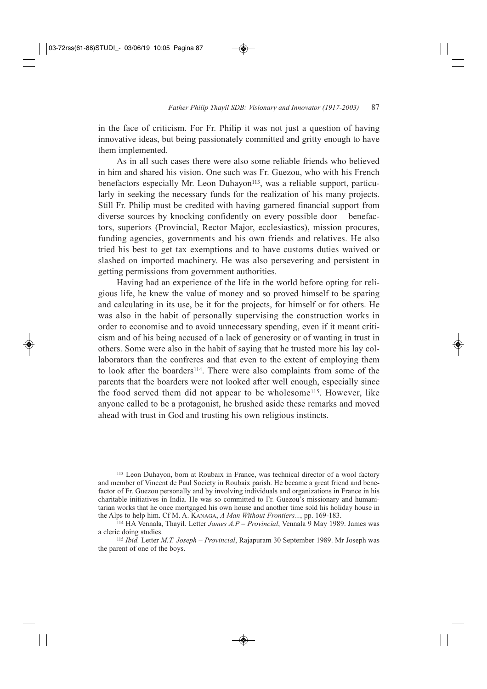in the face of criticism. For Fr. Philip it was not just a question of having innovative ideas, but being passionately committed and gritty enough to have them implemented.

As in all such cases there were also some reliable friends who believed in him and shared his vision. One such was Fr. Guezou, who with his French benefactors especially Mr. Leon Duhayon<sup>113</sup>, was a reliable support, particularly in seeking the necessary funds for the realization of his many projects. Still Fr. Philip must be credited with having garnered financial support from diverse sources by knocking confidently on every possible door – benefactors, superiors (Provincial, Rector Major, ecclesiastics), mission procures, funding agencies, governments and his own friends and relatives. He also tried his best to get tax exemptions and to have customs duties waived or slashed on imported machinery. He was also persevering and persistent in getting permissions from government authorities.

Having had an experience of the life in the world before opting for religious life, he knew the value of money and so proved himself to be sparing and calculating in its use, be it for the projects, for himself or for others. He was also in the habit of personally supervising the construction works in order to economise and to avoid unnecessary spending, even if it meant criticism and of his being accused of a lack of generosity or of wanting in trust in others. Some were also in the habit of saying that he trusted more his lay collaborators than the confreres and that even to the extent of employing them to look after the boarders<sup>114</sup>. There were also complaints from some of the parents that the boarders were not looked after well enough, especially since the food served them did not appear to be wholesome115. However, like anyone called to be a protagonist, he brushed aside these remarks and moved ahead with trust in God and trusting his own religious instincts.

<sup>113</sup> Leon Duhayon, born at Roubaix in France, was technical director of a wool factory and member of Vincent de Paul Society in Roubaix parish. He became a great friend and benefactor of Fr. Guezou personally and by involving individuals and organizations in France in his charitable initiatives in India. He was so committed to Fr. Guezou's missionary and humanitarian works that he once mortgaged his own house and another time sold his holiday house in the Alps to help him. Cf M. A. KANAGA, *A Man Without Frontiers...*, pp. 169-183.

<sup>114</sup> HA Vennala, Thayil. Letter *James A.P – Provincial*, Vennala 9 May 1989. James was a cleric doing studies.

<sup>115</sup> *Ibid.* Letter *M.T. Joseph – Provincial*, Rajapuram 30 September 1989. Mr Joseph was the parent of one of the boys.